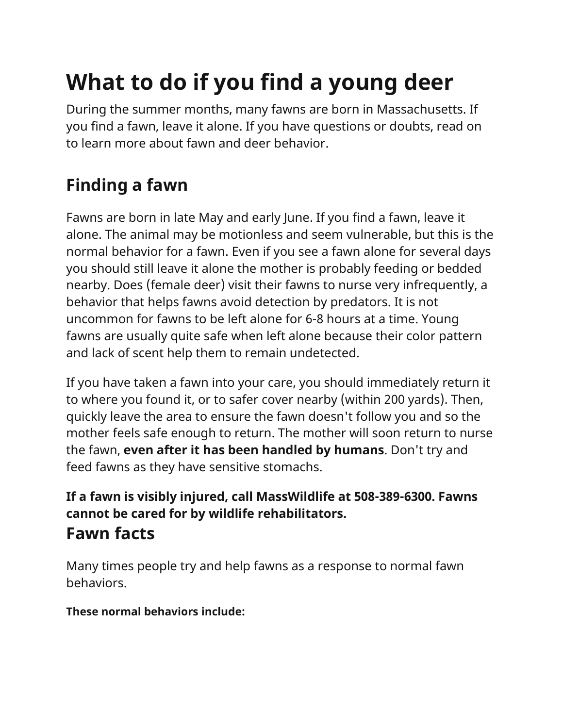## **What to do if you find a young deer**

During the summer months, many fawns are born in Massachusetts. If you find a fawn, leave it alone. If you have questions or doubts, read on to learn more about fawn and deer behavior.

## **Finding a fawn**

Fawns are born in late May and early June. If you find a fawn, leave it alone. The animal may be motionless and seem vulnerable, but this is the normal behavior for a fawn. Even if you see a fawn alone for several days you should still leave it alone the mother is probably feeding or bedded nearby. Does (female deer) visit their fawns to nurse very infrequently, a behavior that helps fawns avoid detection by predators. It is not uncommon for fawns to be left alone for 6-8 hours at a time. Young fawns are usually quite safe when left alone because their color pattern and lack of scent help them to remain undetected.

If you have taken a fawn into your care, you should immediately return it to where you found it, or to safer cover nearby (within 200 yards). Then, quickly leave the area to ensure the fawn doesn't follow you and so the mother feels safe enough to return. The mother will soon return to nurse the fawn, **even after it has been handled by humans**. Don't try and feed fawns as they have sensitive stomachs.

## **If a fawn is visibly injured, call MassWildlife at 508-389-6300. Fawns cannot be cared for by wildlife rehabilitators. Fawn facts**

Many times people try and help fawns as a response to normal fawn behaviors.

**These normal behaviors include:**